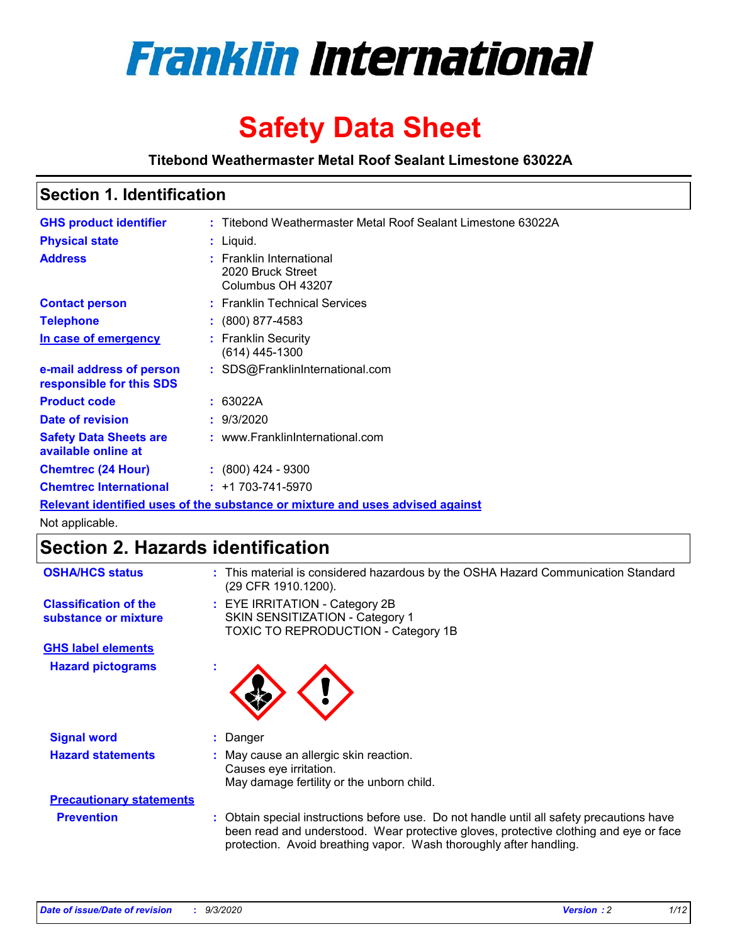

# **Safety Data Sheet**

**Titebond Weathermaster Metal Roof Sealant Limestone 63022A**

### **Section 1. Identification**

| <b>GHS product identifier</b>                                                 |  | : Titebond Weathermaster Metal Roof Sealant Limestone 63022A       |  |
|-------------------------------------------------------------------------------|--|--------------------------------------------------------------------|--|
| <b>Physical state</b>                                                         |  | $:$ Liquid.                                                        |  |
| <b>Address</b>                                                                |  | : Franklin International<br>2020 Bruck Street<br>Columbus OH 43207 |  |
| <b>Contact person</b>                                                         |  | : Franklin Technical Services                                      |  |
| <b>Telephone</b>                                                              |  | $\div$ (800) 877-4583                                              |  |
| In case of emergency                                                          |  | : Franklin Security<br>(614) 445-1300                              |  |
| e-mail address of person<br>responsible for this SDS                          |  | : SDS@FranklinInternational.com                                    |  |
| <b>Product code</b>                                                           |  | : 63022A                                                           |  |
| Date of revision                                                              |  | : 9/3/2020                                                         |  |
| <b>Safety Data Sheets are</b><br>available online at                          |  | : www.FranklinInternational.com                                    |  |
| <b>Chemtrec (24 Hour)</b>                                                     |  | $: (800)$ 424 - 9300                                               |  |
| <b>Chemtrec International</b>                                                 |  | $: +1703 - 741 - 5970$                                             |  |
| Relevant identified uses of the substance or mixture and uses advised against |  |                                                                    |  |

Not applicable.

# **Section 2. Hazards identification**

| <b>OSHA/HCS status</b>                               |    | : This material is considered hazardous by the OSHA Hazard Communication Standard<br>(29 CFR 1910.1200).                                                                                                                                                 |
|------------------------------------------------------|----|----------------------------------------------------------------------------------------------------------------------------------------------------------------------------------------------------------------------------------------------------------|
| <b>Classification of the</b><br>substance or mixture |    | : EYE IRRITATION - Category 2B<br>SKIN SENSITIZATION - Category 1<br>TOXIC TO REPRODUCTION - Category 1B                                                                                                                                                 |
| <b>GHS label elements</b>                            |    |                                                                                                                                                                                                                                                          |
| <b>Hazard pictograms</b>                             | ×. |                                                                                                                                                                                                                                                          |
| <b>Signal word</b>                                   | ÷. | Danger                                                                                                                                                                                                                                                   |
| <b>Hazard statements</b>                             |    | May cause an allergic skin reaction.<br>Causes eye irritation.<br>May damage fertility or the unborn child.                                                                                                                                              |
| <b>Precautionary statements</b>                      |    |                                                                                                                                                                                                                                                          |
| <b>Prevention</b>                                    |    | : Obtain special instructions before use. Do not handle until all safety precautions have<br>been read and understood. Wear protective gloves, protective clothing and eye or face<br>protection. Avoid breathing vapor. Wash thoroughly after handling. |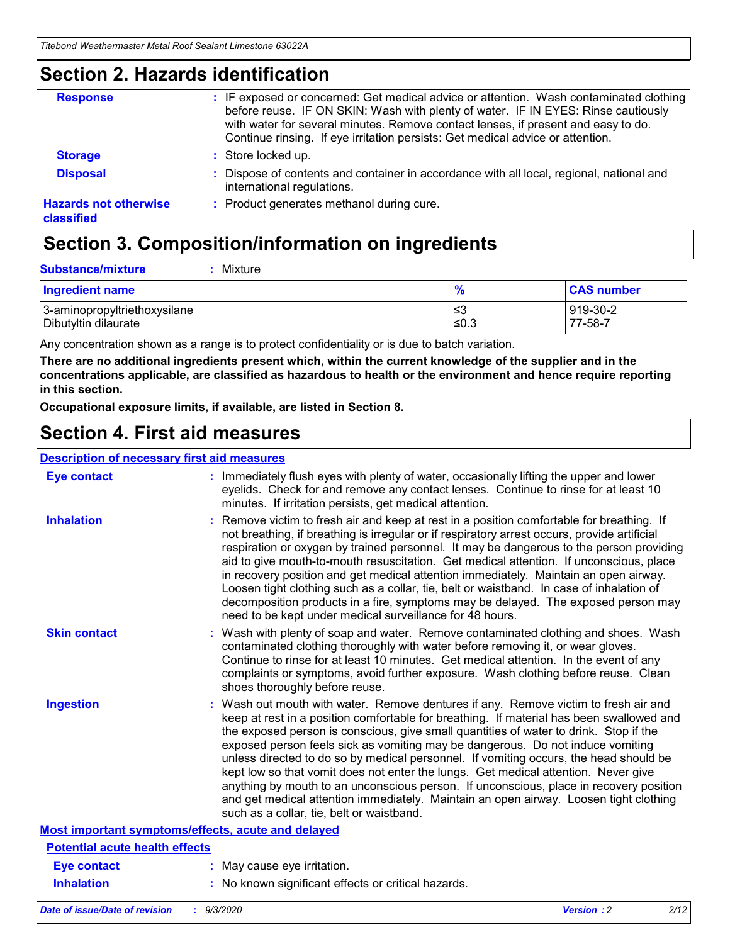### **Section 2. Hazards identification**

| <b>Response</b>                            | : IF exposed or concerned: Get medical advice or attention. Wash contaminated clothing<br>before reuse. IF ON SKIN: Wash with plenty of water. IF IN EYES: Rinse cautiously<br>with water for several minutes. Remove contact lenses, if present and easy to do.<br>Continue rinsing. If eye irritation persists: Get medical advice or attention. |
|--------------------------------------------|----------------------------------------------------------------------------------------------------------------------------------------------------------------------------------------------------------------------------------------------------------------------------------------------------------------------------------------------------|
| <b>Storage</b>                             | : Store locked up.                                                                                                                                                                                                                                                                                                                                 |
| <b>Disposal</b>                            | : Dispose of contents and container in accordance with all local, regional, national and<br>international regulations.                                                                                                                                                                                                                             |
| <b>Hazards not otherwise</b><br>classified | : Product generates methanol during cure.                                                                                                                                                                                                                                                                                                          |

# **Section 3. Composition/information on ingredients**

| <b>Substance/mixture</b> | : Mixture |
|--------------------------|-----------|
|                          |           |

| Ingredient name              | $\mathbf{0}$<br>70 | <b>CAS number</b> |
|------------------------------|--------------------|-------------------|
| 3-aminopropyltriethoxysilane | צ≥                 | 919-30-2          |
| Dibutyltin dilaurate         | ≤0.3               | 77-58-7           |

Any concentration shown as a range is to protect confidentiality or is due to batch variation.

**There are no additional ingredients present which, within the current knowledge of the supplier and in the concentrations applicable, are classified as hazardous to health or the environment and hence require reporting in this section.**

**Occupational exposure limits, if available, are listed in Section 8.**

## **Section 4. First aid measures**

| <b>Description of necessary first aid measures</b> |                                                                                                                                                                                                                                                                                                                                                                                                                                                                                                                                                                                                                                                                                                                                                                           |
|----------------------------------------------------|---------------------------------------------------------------------------------------------------------------------------------------------------------------------------------------------------------------------------------------------------------------------------------------------------------------------------------------------------------------------------------------------------------------------------------------------------------------------------------------------------------------------------------------------------------------------------------------------------------------------------------------------------------------------------------------------------------------------------------------------------------------------------|
| <b>Eye contact</b>                                 | : Immediately flush eyes with plenty of water, occasionally lifting the upper and lower<br>eyelids. Check for and remove any contact lenses. Continue to rinse for at least 10<br>minutes. If irritation persists, get medical attention.                                                                                                                                                                                                                                                                                                                                                                                                                                                                                                                                 |
| <b>Inhalation</b>                                  | : Remove victim to fresh air and keep at rest in a position comfortable for breathing. If<br>not breathing, if breathing is irregular or if respiratory arrest occurs, provide artificial<br>respiration or oxygen by trained personnel. It may be dangerous to the person providing<br>aid to give mouth-to-mouth resuscitation. Get medical attention. If unconscious, place<br>in recovery position and get medical attention immediately. Maintain an open airway.<br>Loosen tight clothing such as a collar, tie, belt or waistband. In case of inhalation of<br>decomposition products in a fire, symptoms may be delayed. The exposed person may<br>need to be kept under medical surveillance for 48 hours.                                                       |
| <b>Skin contact</b>                                | : Wash with plenty of soap and water. Remove contaminated clothing and shoes. Wash<br>contaminated clothing thoroughly with water before removing it, or wear gloves.<br>Continue to rinse for at least 10 minutes. Get medical attention. In the event of any<br>complaints or symptoms, avoid further exposure. Wash clothing before reuse. Clean<br>shoes thoroughly before reuse.                                                                                                                                                                                                                                                                                                                                                                                     |
| <b>Ingestion</b>                                   | : Wash out mouth with water. Remove dentures if any. Remove victim to fresh air and<br>keep at rest in a position comfortable for breathing. If material has been swallowed and<br>the exposed person is conscious, give small quantities of water to drink. Stop if the<br>exposed person feels sick as vomiting may be dangerous. Do not induce vomiting<br>unless directed to do so by medical personnel. If vomiting occurs, the head should be<br>kept low so that vomit does not enter the lungs. Get medical attention. Never give<br>anything by mouth to an unconscious person. If unconscious, place in recovery position<br>and get medical attention immediately. Maintain an open airway. Loosen tight clothing<br>such as a collar, tie, belt or waistband. |
| Most important symptoms/effects, acute and delayed |                                                                                                                                                                                                                                                                                                                                                                                                                                                                                                                                                                                                                                                                                                                                                                           |
| <b>Potential acute health effects</b>              |                                                                                                                                                                                                                                                                                                                                                                                                                                                                                                                                                                                                                                                                                                                                                                           |
| <b>Eye contact</b>                                 | : May cause eye irritation.                                                                                                                                                                                                                                                                                                                                                                                                                                                                                                                                                                                                                                                                                                                                               |
| <b>Inhalation</b>                                  | : No known significant effects or critical hazards.                                                                                                                                                                                                                                                                                                                                                                                                                                                                                                                                                                                                                                                                                                                       |
|                                                    |                                                                                                                                                                                                                                                                                                                                                                                                                                                                                                                                                                                                                                                                                                                                                                           |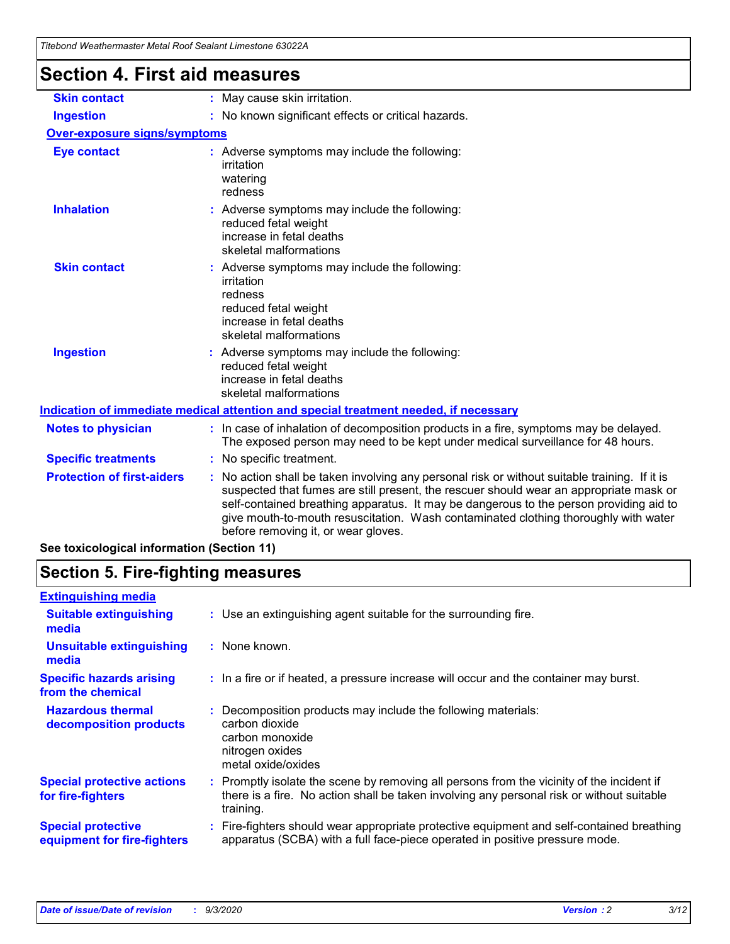| Titebong Weathermaster Metal Roof Sealant Limestone 63022A |                                                                                                                                                                                                                                                                                                                                                                                                               |  |  |
|------------------------------------------------------------|---------------------------------------------------------------------------------------------------------------------------------------------------------------------------------------------------------------------------------------------------------------------------------------------------------------------------------------------------------------------------------------------------------------|--|--|
| <b>Section 4. First aid measures</b>                       |                                                                                                                                                                                                                                                                                                                                                                                                               |  |  |
| <b>Skin contact</b>                                        | : May cause skin irritation.                                                                                                                                                                                                                                                                                                                                                                                  |  |  |
| <b>Ingestion</b>                                           | : No known significant effects or critical hazards.                                                                                                                                                                                                                                                                                                                                                           |  |  |
| <b>Over-exposure signs/symptoms</b>                        |                                                                                                                                                                                                                                                                                                                                                                                                               |  |  |
| <b>Eye contact</b>                                         | : Adverse symptoms may include the following:<br>irritation<br>watering<br>redness                                                                                                                                                                                                                                                                                                                            |  |  |
| <b>Inhalation</b>                                          | : Adverse symptoms may include the following:<br>reduced fetal weight<br>increase in fetal deaths<br>skeletal malformations                                                                                                                                                                                                                                                                                   |  |  |
| <b>Skin contact</b>                                        | : Adverse symptoms may include the following:<br>irritation<br>redness<br>reduced fetal weight<br>increase in fetal deaths<br>skeletal malformations                                                                                                                                                                                                                                                          |  |  |
| <b>Ingestion</b>                                           | : Adverse symptoms may include the following:<br>reduced fetal weight<br>increase in fetal deaths<br>skeletal malformations                                                                                                                                                                                                                                                                                   |  |  |
|                                                            | Indication of immediate medical attention and special treatment needed, if necessary                                                                                                                                                                                                                                                                                                                          |  |  |
| <b>Notes to physician</b>                                  | : In case of inhalation of decomposition products in a fire, symptoms may be delayed.<br>The exposed person may need to be kept under medical surveillance for 48 hours.                                                                                                                                                                                                                                      |  |  |
| <b>Specific treatments</b>                                 | : No specific treatment.                                                                                                                                                                                                                                                                                                                                                                                      |  |  |
| <b>Protection of first-aiders</b>                          | No action shall be taken involving any personal risk or without suitable training. If it is<br>suspected that fumes are still present, the rescuer should wear an appropriate mask or<br>self-contained breathing apparatus. It may be dangerous to the person providing aid to<br>give mouth-to-mouth resuscitation. Wash contaminated clothing thoroughly with water<br>before removing it, or wear gloves. |  |  |

**See toxicological information (Section 11)**

# **Section 5. Fire-fighting measures**

| <b>Extinguishing media</b>                               |                                                                                                                                                                                                     |
|----------------------------------------------------------|-----------------------------------------------------------------------------------------------------------------------------------------------------------------------------------------------------|
| <b>Suitable extinguishing</b><br>media                   | : Use an extinguishing agent suitable for the surrounding fire.                                                                                                                                     |
| <b>Unsuitable extinguishing</b><br>media                 | : None known.                                                                                                                                                                                       |
| <b>Specific hazards arising</b><br>from the chemical     | : In a fire or if heated, a pressure increase will occur and the container may burst.                                                                                                               |
| <b>Hazardous thermal</b><br>decomposition products       | Decomposition products may include the following materials:<br>carbon dioxide<br>carbon monoxide<br>nitrogen oxides<br>metal oxide/oxides                                                           |
| <b>Special protective actions</b><br>for fire-fighters   | : Promptly isolate the scene by removing all persons from the vicinity of the incident if<br>there is a fire. No action shall be taken involving any personal risk or without suitable<br>training. |
| <b>Special protective</b><br>equipment for fire-fighters | Fire-fighters should wear appropriate protective equipment and self-contained breathing<br>apparatus (SCBA) with a full face-piece operated in positive pressure mode.                              |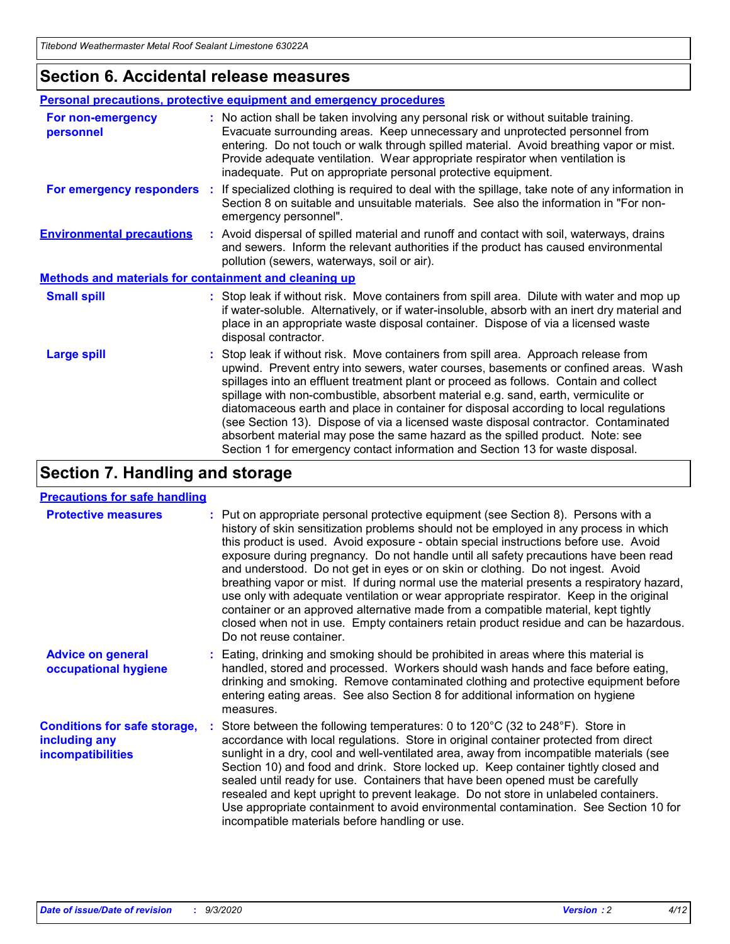### **Section 6. Accidental release measures**

|                                                       | Personal precautions, protective equipment and emergency procedures                                                                                                                                                                                                                                                                                                                                                                                                                                                                                                                                                                                                                                          |  |  |  |
|-------------------------------------------------------|--------------------------------------------------------------------------------------------------------------------------------------------------------------------------------------------------------------------------------------------------------------------------------------------------------------------------------------------------------------------------------------------------------------------------------------------------------------------------------------------------------------------------------------------------------------------------------------------------------------------------------------------------------------------------------------------------------------|--|--|--|
| For non-emergency<br>personnel                        | : No action shall be taken involving any personal risk or without suitable training.<br>Evacuate surrounding areas. Keep unnecessary and unprotected personnel from<br>entering. Do not touch or walk through spilled material. Avoid breathing vapor or mist.<br>Provide adequate ventilation. Wear appropriate respirator when ventilation is<br>inadequate. Put on appropriate personal protective equipment.                                                                                                                                                                                                                                                                                             |  |  |  |
| For emergency responders                              | : If specialized clothing is required to deal with the spillage, take note of any information in<br>Section 8 on suitable and unsuitable materials. See also the information in "For non-<br>emergency personnel".                                                                                                                                                                                                                                                                                                                                                                                                                                                                                           |  |  |  |
| <b>Environmental precautions</b>                      | : Avoid dispersal of spilled material and runoff and contact with soil, waterways, drains<br>and sewers. Inform the relevant authorities if the product has caused environmental<br>pollution (sewers, waterways, soil or air).                                                                                                                                                                                                                                                                                                                                                                                                                                                                              |  |  |  |
| Methods and materials for containment and cleaning up |                                                                                                                                                                                                                                                                                                                                                                                                                                                                                                                                                                                                                                                                                                              |  |  |  |
| <b>Small spill</b>                                    | : Stop leak if without risk. Move containers from spill area. Dilute with water and mop up<br>if water-soluble. Alternatively, or if water-insoluble, absorb with an inert dry material and<br>place in an appropriate waste disposal container. Dispose of via a licensed waste<br>disposal contractor.                                                                                                                                                                                                                                                                                                                                                                                                     |  |  |  |
| <b>Large spill</b>                                    | : Stop leak if without risk. Move containers from spill area. Approach release from<br>upwind. Prevent entry into sewers, water courses, basements or confined areas. Wash<br>spillages into an effluent treatment plant or proceed as follows. Contain and collect<br>spillage with non-combustible, absorbent material e.g. sand, earth, vermiculite or<br>diatomaceous earth and place in container for disposal according to local regulations<br>(see Section 13). Dispose of via a licensed waste disposal contractor. Contaminated<br>absorbent material may pose the same hazard as the spilled product. Note: see<br>Section 1 for emergency contact information and Section 13 for waste disposal. |  |  |  |

# **Section 7. Handling and storage**

### **Precautions for safe handling**

| <b>Protective measures</b>                                                       | : Put on appropriate personal protective equipment (see Section 8). Persons with a<br>history of skin sensitization problems should not be employed in any process in which<br>this product is used. Avoid exposure - obtain special instructions before use. Avoid<br>exposure during pregnancy. Do not handle until all safety precautions have been read<br>and understood. Do not get in eyes or on skin or clothing. Do not ingest. Avoid<br>breathing vapor or mist. If during normal use the material presents a respiratory hazard,<br>use only with adequate ventilation or wear appropriate respirator. Keep in the original<br>container or an approved alternative made from a compatible material, kept tightly<br>closed when not in use. Empty containers retain product residue and can be hazardous.<br>Do not reuse container. |
|----------------------------------------------------------------------------------|--------------------------------------------------------------------------------------------------------------------------------------------------------------------------------------------------------------------------------------------------------------------------------------------------------------------------------------------------------------------------------------------------------------------------------------------------------------------------------------------------------------------------------------------------------------------------------------------------------------------------------------------------------------------------------------------------------------------------------------------------------------------------------------------------------------------------------------------------|
| <b>Advice on general</b><br>occupational hygiene                                 | : Eating, drinking and smoking should be prohibited in areas where this material is<br>handled, stored and processed. Workers should wash hands and face before eating,<br>drinking and smoking. Remove contaminated clothing and protective equipment before<br>entering eating areas. See also Section 8 for additional information on hygiene<br>measures.                                                                                                                                                                                                                                                                                                                                                                                                                                                                                    |
| <b>Conditions for safe storage,</b><br>including any<br><i>incompatibilities</i> | Store between the following temperatures: 0 to 120°C (32 to 248°F). Store in<br>accordance with local regulations. Store in original container protected from direct<br>sunlight in a dry, cool and well-ventilated area, away from incompatible materials (see<br>Section 10) and food and drink. Store locked up. Keep container tightly closed and<br>sealed until ready for use. Containers that have been opened must be carefully<br>resealed and kept upright to prevent leakage. Do not store in unlabeled containers.<br>Use appropriate containment to avoid environmental contamination. See Section 10 for<br>incompatible materials before handling or use.                                                                                                                                                                         |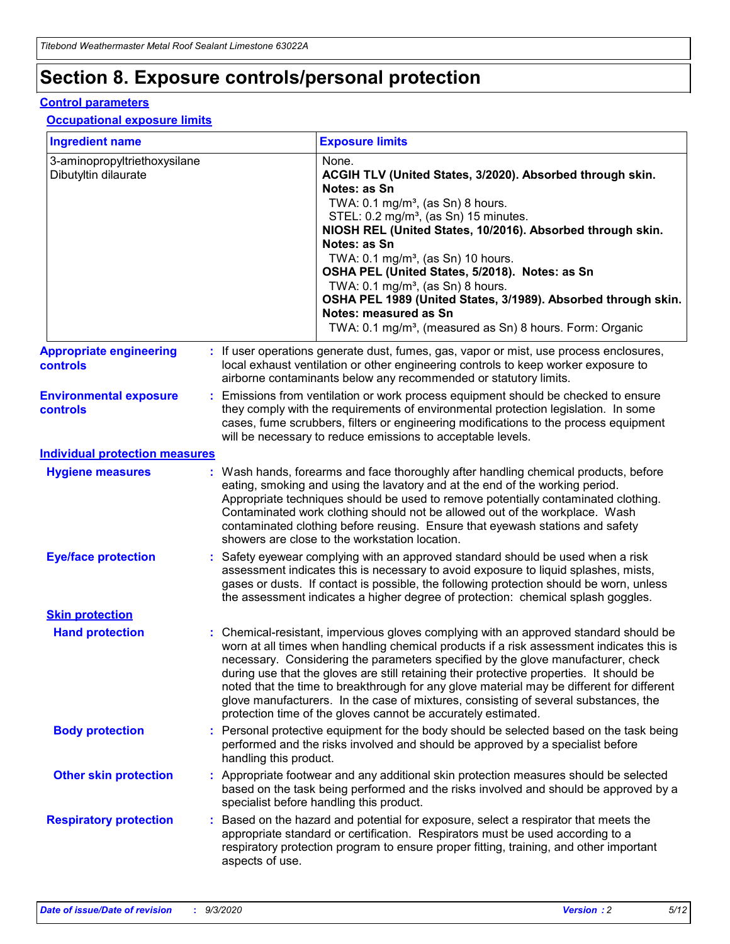# **Section 8. Exposure controls/personal protection**

### **Control parameters**

### **Occupational exposure limits**

| <b>Ingredient name</b>                               |    |                        | <b>Exposure limits</b>                                                                                                                                                                                                                                                                                                                                                                                                                                                                                                                                                                                                 |
|------------------------------------------------------|----|------------------------|------------------------------------------------------------------------------------------------------------------------------------------------------------------------------------------------------------------------------------------------------------------------------------------------------------------------------------------------------------------------------------------------------------------------------------------------------------------------------------------------------------------------------------------------------------------------------------------------------------------------|
| 3-aminopropyltriethoxysilane<br>Dibutyltin dilaurate |    |                        | None.<br>ACGIH TLV (United States, 3/2020). Absorbed through skin.<br>Notes: as Sn<br>TWA: $0.1 \text{ mg/m}^3$ , (as Sn) 8 hours.<br>STEL: 0.2 mg/m <sup>3</sup> , (as Sn) 15 minutes.<br>NIOSH REL (United States, 10/2016). Absorbed through skin.<br>Notes: as Sn<br>TWA: 0.1 mg/m <sup>3</sup> , (as Sn) 10 hours.<br>OSHA PEL (United States, 5/2018). Notes: as Sn<br>TWA: 0.1 mg/m <sup>3</sup> , (as Sn) 8 hours.<br>OSHA PEL 1989 (United States, 3/1989). Absorbed through skin.<br>Notes: measured as Sn<br>TWA: 0.1 mg/m <sup>3</sup> , (measured as Sn) 8 hours. Form: Organic                           |
| <b>Appropriate engineering</b><br>controls           |    |                        | : If user operations generate dust, fumes, gas, vapor or mist, use process enclosures,<br>local exhaust ventilation or other engineering controls to keep worker exposure to<br>airborne contaminants below any recommended or statutory limits.                                                                                                                                                                                                                                                                                                                                                                       |
| <b>Environmental exposure</b><br>controls            |    |                        | Emissions from ventilation or work process equipment should be checked to ensure<br>they comply with the requirements of environmental protection legislation. In some<br>cases, fume scrubbers, filters or engineering modifications to the process equipment<br>will be necessary to reduce emissions to acceptable levels.                                                                                                                                                                                                                                                                                          |
| <b>Individual protection measures</b>                |    |                        |                                                                                                                                                                                                                                                                                                                                                                                                                                                                                                                                                                                                                        |
| <b>Hygiene measures</b>                              |    |                        | : Wash hands, forearms and face thoroughly after handling chemical products, before<br>eating, smoking and using the lavatory and at the end of the working period.<br>Appropriate techniques should be used to remove potentially contaminated clothing.<br>Contaminated work clothing should not be allowed out of the workplace. Wash<br>contaminated clothing before reusing. Ensure that eyewash stations and safety<br>showers are close to the workstation location.                                                                                                                                            |
| <b>Eye/face protection</b>                           |    |                        | Safety eyewear complying with an approved standard should be used when a risk<br>assessment indicates this is necessary to avoid exposure to liquid splashes, mists,<br>gases or dusts. If contact is possible, the following protection should be worn, unless<br>the assessment indicates a higher degree of protection: chemical splash goggles.                                                                                                                                                                                                                                                                    |
| <b>Skin protection</b>                               |    |                        |                                                                                                                                                                                                                                                                                                                                                                                                                                                                                                                                                                                                                        |
| <b>Hand protection</b>                               |    |                        | : Chemical-resistant, impervious gloves complying with an approved standard should be<br>worn at all times when handling chemical products if a risk assessment indicates this is<br>necessary. Considering the parameters specified by the glove manufacturer, check<br>during use that the gloves are still retaining their protective properties. It should be<br>noted that the time to breakthrough for any glove material may be different for different<br>glove manufacturers. In the case of mixtures, consisting of several substances, the<br>protection time of the gloves cannot be accurately estimated. |
| <b>Body protection</b>                               |    | handling this product. | Personal protective equipment for the body should be selected based on the task being<br>performed and the risks involved and should be approved by a specialist before                                                                                                                                                                                                                                                                                                                                                                                                                                                |
| <b>Other skin protection</b>                         |    |                        | : Appropriate footwear and any additional skin protection measures should be selected<br>based on the task being performed and the risks involved and should be approved by a<br>specialist before handling this product.                                                                                                                                                                                                                                                                                                                                                                                              |
| <b>Respiratory protection</b>                        | ÷. | aspects of use.        | Based on the hazard and potential for exposure, select a respirator that meets the<br>appropriate standard or certification. Respirators must be used according to a<br>respiratory protection program to ensure proper fitting, training, and other important                                                                                                                                                                                                                                                                                                                                                         |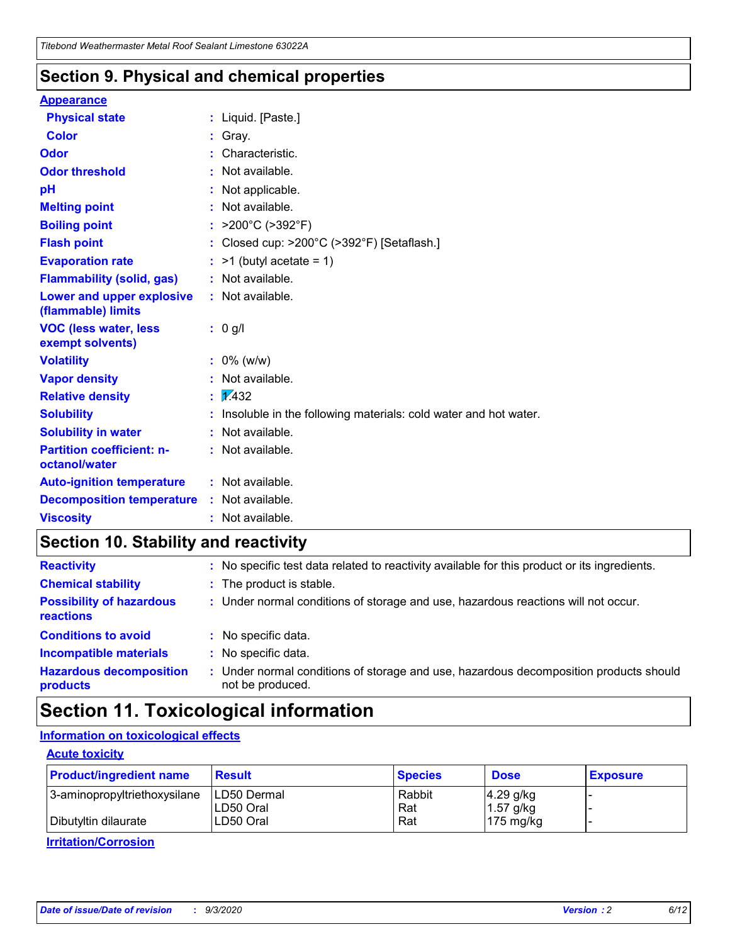### **Section 9. Physical and chemical properties**

### **Appearance**

| <b>Physical state</b>                             | : Liquid. [Paste.]                                              |
|---------------------------------------------------|-----------------------------------------------------------------|
| <b>Color</b>                                      | Gray.                                                           |
| Odor                                              | Characteristic.                                                 |
| <b>Odor threshold</b>                             | Not available.                                                  |
| рH                                                | Not applicable.                                                 |
| <b>Melting point</b>                              | : Not available.                                                |
| <b>Boiling point</b>                              | >200°C (>392°F)                                                 |
| <b>Flash point</b>                                | Closed cup: >200°C (>392°F) [Setaflash.]                        |
| <b>Evaporation rate</b>                           | $:$ >1 (butyl acetate = 1)                                      |
| <b>Flammability (solid, gas)</b>                  | : Not available.                                                |
| Lower and upper explosive<br>(flammable) limits   | : Not available.                                                |
| <b>VOC (less water, less)</b><br>exempt solvents) | : 0 g/l                                                         |
| <b>Volatility</b>                                 | $: 0\%$ (w/w)                                                   |
| <b>Vapor density</b>                              | Not available.                                                  |
| <b>Relative density</b>                           | $\mathbf{1}$ $\mathbf{\sqrt{432}}$                              |
| <b>Solubility</b>                                 | Insoluble in the following materials: cold water and hot water. |
| <b>Solubility in water</b>                        | Not available.                                                  |
| <b>Partition coefficient: n-</b><br>octanol/water | $:$ Not available.                                              |
| <b>Auto-ignition temperature</b>                  | : Not available.                                                |
| <b>Decomposition temperature</b>                  | : Not available.                                                |
| <b>Viscosity</b>                                  | $:$ Not available.                                              |

# **Section 10. Stability and reactivity**

| <b>Reactivity</b>                                   | : No specific test data related to reactivity available for this product or its ingredients.            |
|-----------------------------------------------------|---------------------------------------------------------------------------------------------------------|
| <b>Chemical stability</b>                           | : The product is stable.                                                                                |
| <b>Possibility of hazardous</b><br><b>reactions</b> | : Under normal conditions of storage and use, hazardous reactions will not occur.                       |
| <b>Conditions to avoid</b>                          | : No specific data.                                                                                     |
| <b>Incompatible materials</b>                       | No specific data.                                                                                       |
| <b>Hazardous decomposition</b><br>products          | Under normal conditions of storage and use, hazardous decomposition products should<br>not be produced. |

# **Section 11. Toxicological information**

### **Information on toxicological effects**

### **Acute toxicity**

| <b>Product/ingredient name</b> | <b>Result</b>           | <b>Species</b> | <b>Dose</b>                | <b>Exposure</b> |
|--------------------------------|-------------------------|----------------|----------------------------|-----------------|
| 3-aminopropyltriethoxysilane   | <b>ILD50 Dermal</b>     | Rabbit         | 4.29 g/kg                  |                 |
| Dibutyltin dilaurate           | ILD50 Oral<br>LD50 Oral | Rat<br>Rat     | $1.57$ g/kg<br>175 $mg/kg$ |                 |
|                                |                         |                |                            |                 |

**Irritation/Corrosion**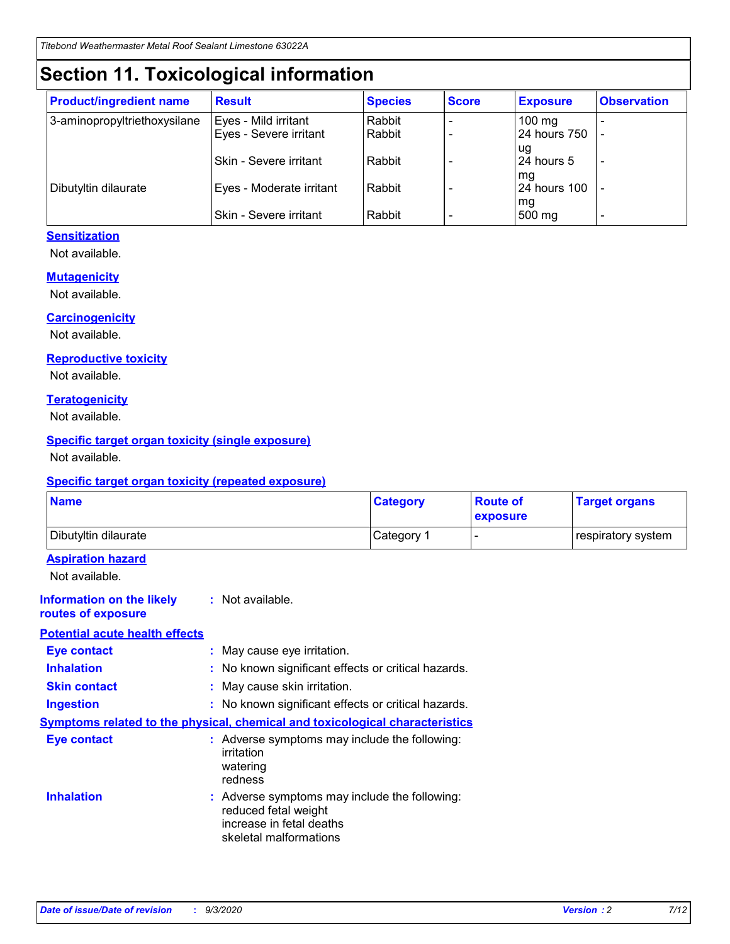# **Section 11. Toxicological information**

| <b>Product/ingredient name</b> | <b>Result</b>            | <b>Species</b> | <b>Score</b> | <b>Exposure</b>    | <b>Observation</b> |
|--------------------------------|--------------------------|----------------|--------------|--------------------|--------------------|
| 3-aminopropyltriethoxysilane   | Eyes - Mild irritant     | Rabbit         |              | $100$ mg           |                    |
|                                | Eyes - Severe irritant   | Rabbit         |              | 24 hours 750       |                    |
|                                |                          |                |              | ug                 |                    |
|                                | Skin - Severe irritant   | Rabbit         |              | 24 hours 5         | -                  |
| Dibutyltin dilaurate           | Eyes - Moderate irritant | Rabbit         |              | mg<br>24 hours 100 |                    |
|                                |                          |                |              | mg                 |                    |
|                                | Skin - Severe irritant   | Rabbit         |              | 500 mg             | -                  |

### **Sensitization**

Not available.

### **Mutagenicity**

Not available.

### **Carcinogenicity**

Not available.

### **Reproductive toxicity**

Not available.

### **Teratogenicity**

Not available.

### **Specific target organ toxicity (single exposure)**

Not available.

### **Specific target organ toxicity (repeated exposure)**

| <b>Name</b>                                                                         |                                                                            | <b>Category</b>                                     | <b>Route of</b><br>exposure | <b>Target organs</b> |  |  |
|-------------------------------------------------------------------------------------|----------------------------------------------------------------------------|-----------------------------------------------------|-----------------------------|----------------------|--|--|
| Dibutyltin dilaurate                                                                |                                                                            | Category 1                                          | -                           | respiratory system   |  |  |
| <b>Aspiration hazard</b><br>Not available.                                          |                                                                            |                                                     |                             |                      |  |  |
| <b>Information on the likely</b><br>routes of exposure                              | : Not available.                                                           |                                                     |                             |                      |  |  |
| <b>Potential acute health effects</b>                                               |                                                                            |                                                     |                             |                      |  |  |
| <b>Eye contact</b>                                                                  | : May cause eye irritation.                                                |                                                     |                             |                      |  |  |
| <b>Inhalation</b>                                                                   |                                                                            | : No known significant effects or critical hazards. |                             |                      |  |  |
| <b>Skin contact</b>                                                                 |                                                                            | : May cause skin irritation.                        |                             |                      |  |  |
| <b>Ingestion</b>                                                                    |                                                                            | : No known significant effects or critical hazards. |                             |                      |  |  |
| <b>Symptoms related to the physical, chemical and toxicological characteristics</b> |                                                                            |                                                     |                             |                      |  |  |
| <b>Eye contact</b>                                                                  | irritation<br>watering<br>redness                                          | : Adverse symptoms may include the following:       |                             |                      |  |  |
| <b>Inhalation</b>                                                                   | reduced fetal weight<br>increase in fetal deaths<br>skeletal malformations | : Adverse symptoms may include the following:       |                             |                      |  |  |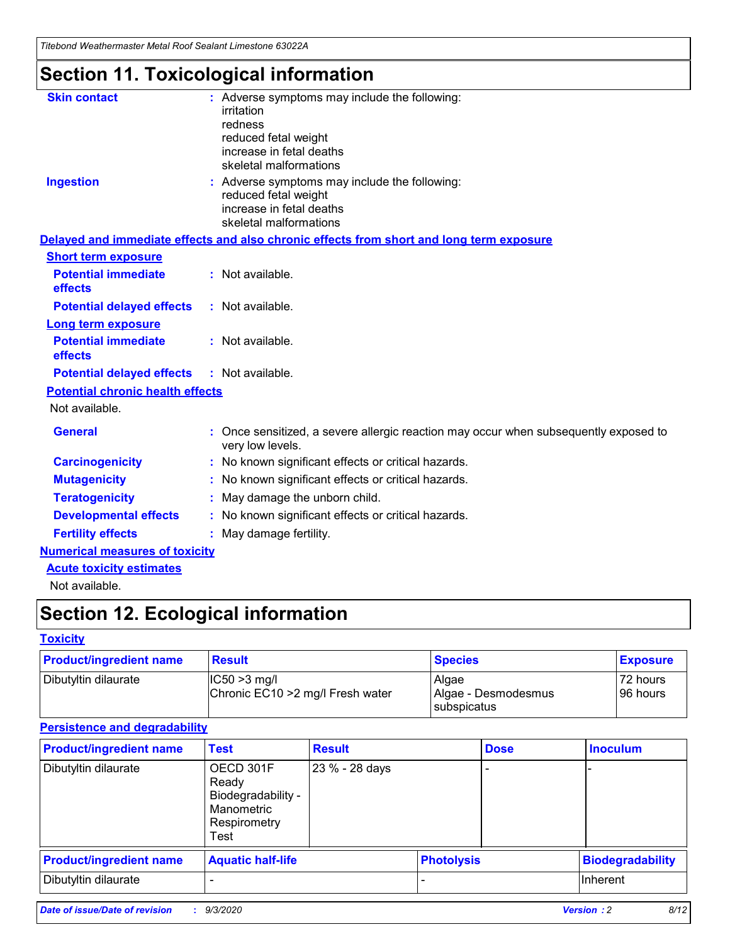*Titebond Weathermaster Metal Roof Sealant Limestone 63022A*

# **Section 11. Toxicological information**

| <b>Skin contact</b>                     | : Adverse symptoms may include the following:<br>irritation                                            |
|-----------------------------------------|--------------------------------------------------------------------------------------------------------|
|                                         | redness                                                                                                |
|                                         | reduced fetal weight                                                                                   |
|                                         | increase in fetal deaths                                                                               |
|                                         | skeletal malformations                                                                                 |
| <b>Ingestion</b>                        | : Adverse symptoms may include the following:<br>reduced fetal weight                                  |
|                                         | increase in fetal deaths                                                                               |
|                                         | skeletal malformations                                                                                 |
|                                         | Delayed and immediate effects and also chronic effects from short and long term exposure               |
| <b>Short term exposure</b>              |                                                                                                        |
| <b>Potential immediate</b><br>effects   | : Not available.                                                                                       |
| <b>Potential delayed effects</b>        | : Not available.                                                                                       |
| <b>Long term exposure</b>               |                                                                                                        |
| <b>Potential immediate</b><br>effects   | : Not available.                                                                                       |
| <b>Potential delayed effects</b>        | : Not available.                                                                                       |
| <b>Potential chronic health effects</b> |                                                                                                        |
| Not available.                          |                                                                                                        |
| <b>General</b>                          | Once sensitized, a severe allergic reaction may occur when subsequently exposed to<br>very low levels. |
| <b>Carcinogenicity</b>                  | No known significant effects or critical hazards.                                                      |
| <b>Mutagenicity</b>                     | : No known significant effects or critical hazards.                                                    |
| <b>Teratogenicity</b>                   | May damage the unborn child.                                                                           |
| <b>Developmental effects</b>            | : No known significant effects or critical hazards.                                                    |
| <b>Fertility effects</b>                | : May damage fertility.                                                                                |
| <b>Numerical measures of toxicity</b>   |                                                                                                        |
| <b>Acute toxicity estimates</b>         |                                                                                                        |
| Not ovoilable                           |                                                                                                        |

Not available.

# **Section 12. Ecological information**

### **Toxicity**

| <b>Product/ingredient name</b> | <b>Result</b>                                       | <b>Species</b>               | <b>Exposure</b>       |
|--------------------------------|-----------------------------------------------------|------------------------------|-----------------------|
| Dibutyltin dilaurate           | $ CC50>3$ mg/l<br>Chronic EC10 > 2 mg/l Fresh water | Algae<br>Algae - Desmodesmus | 72 hours<br>196 hours |
|                                |                                                     | <b>I</b> subspicatus         |                       |

### **Persistence and degradability**

| <b>Product/ingredient name</b> | <b>Test</b>                                                                    | <b>Result</b>  |                   | <b>Dose</b> | <b>Inoculum</b>         |
|--------------------------------|--------------------------------------------------------------------------------|----------------|-------------------|-------------|-------------------------|
| Dibutyltin dilaurate           | OECD 301F<br>Ready<br>Biodegradability -<br>Manometric<br>Respirometry<br>Test | 23 % - 28 days |                   |             |                         |
| <b>Product/ingredient name</b> | <b>Aquatic half-life</b>                                                       |                | <b>Photolysis</b> |             | <b>Biodegradability</b> |
| Dibutyltin dilaurate           |                                                                                |                |                   |             | <b>Inherent</b>         |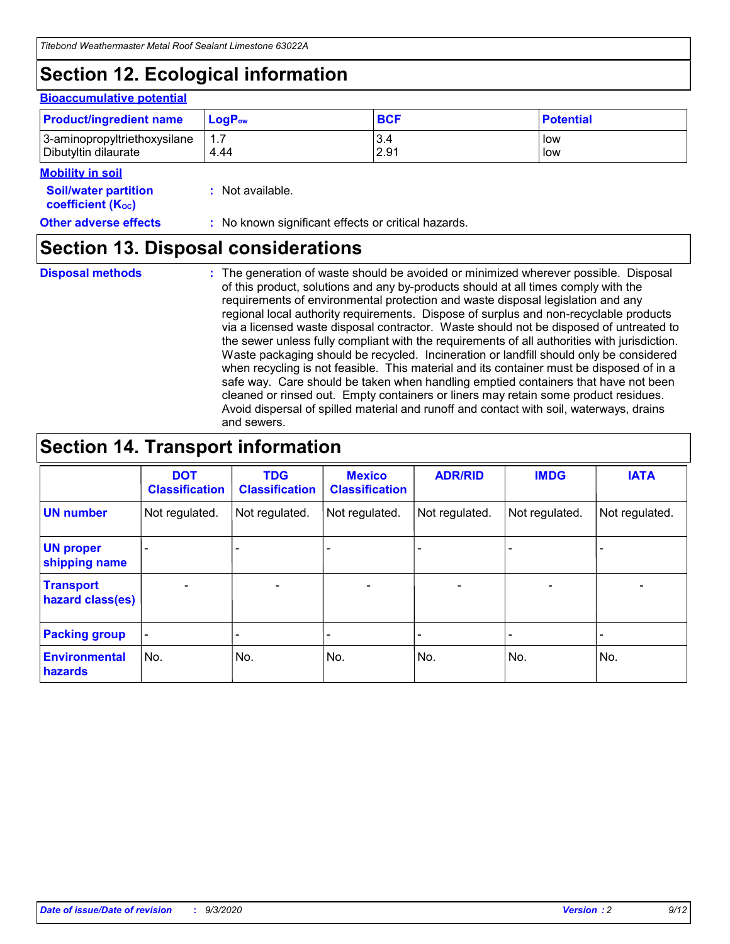# **Section 12. Ecological information**

#### **Bioaccumulative potential**

| <b>Product/ingredient name</b> | $\mathsf{LogP}_\mathsf{ow}$ | <b>BCF</b> | <b>Potential</b> |
|--------------------------------|-----------------------------|------------|------------------|
| 3-aminopropyltriethoxysilane   | 1.7                         | 3.4        | low              |
| Dibutyltin dilaurate           | 4.44                        | 2.91       | low              |

### **Mobility in soil**

| <b>MODINA IN SON</b>                                          |                                                     |
|---------------------------------------------------------------|-----------------------------------------------------|
| <b>Soil/water partition</b><br>coefficient (K <sub>oc</sub> ) | : Not available.                                    |
| <b>Other adverse effects</b>                                  | : No known significant effects or critical hazards. |

### **Section 13. Disposal considerations**

**Disposal methods :**

The generation of waste should be avoided or minimized wherever possible. Disposal of this product, solutions and any by-products should at all times comply with the requirements of environmental protection and waste disposal legislation and any regional local authority requirements. Dispose of surplus and non-recyclable products via a licensed waste disposal contractor. Waste should not be disposed of untreated to the sewer unless fully compliant with the requirements of all authorities with jurisdiction. Waste packaging should be recycled. Incineration or landfill should only be considered when recycling is not feasible. This material and its container must be disposed of in a safe way. Care should be taken when handling emptied containers that have not been cleaned or rinsed out. Empty containers or liners may retain some product residues. Avoid dispersal of spilled material and runoff and contact with soil, waterways, drains and sewers.

## **Section 14. Transport information**

|                                      | <b>DOT</b><br><b>Classification</b> | <b>TDG</b><br><b>Classification</b> | <b>Mexico</b><br><b>Classification</b> | <b>ADR/RID</b>           | <b>IMDG</b>              | <b>IATA</b>    |
|--------------------------------------|-------------------------------------|-------------------------------------|----------------------------------------|--------------------------|--------------------------|----------------|
| <b>UN number</b>                     | Not regulated.                      | Not regulated.                      | Not regulated.                         | Not regulated.           | Not regulated.           | Not regulated. |
| <b>UN proper</b><br>shipping name    |                                     |                                     |                                        |                          |                          |                |
| <b>Transport</b><br>hazard class(es) |                                     | $\overline{\phantom{0}}$            | $\qquad \qquad \blacksquare$           | $\overline{\phantom{0}}$ | $\overline{\phantom{0}}$ |                |
| <b>Packing group</b>                 |                                     |                                     |                                        |                          |                          |                |
| <b>Environmental</b><br>hazards      | No.                                 | No.                                 | No.                                    | No.                      | No.                      | No.            |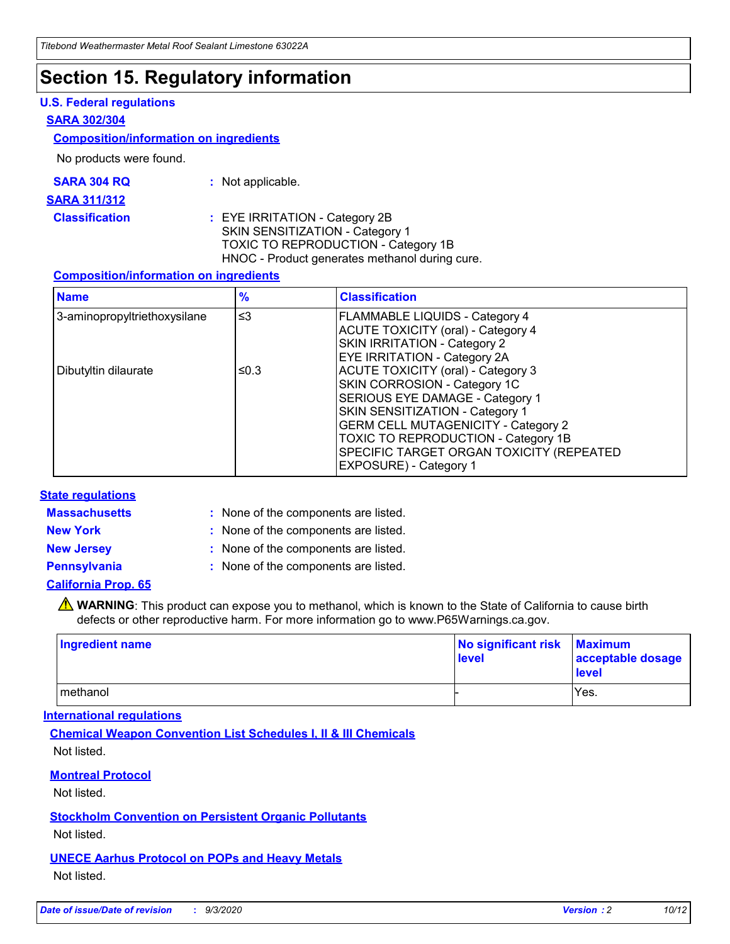# **Section 15. Regulatory information**

### **U.S. Federal regulations**

### **SARA 302/304**

### **Composition/information on ingredients**

No products were found.

| SARA 304 RQ | Not applicable. |
|-------------|-----------------|
|-------------|-----------------|

#### **SARA 311/312**

### **Classification :** EYE IRRITATION - Category 2B SKIN SENSITIZATION - Category 1 TOXIC TO REPRODUCTION - Category 1B HNOC - Product generates methanol during cure.

### **Composition/information on ingredients**

| <b>Name</b>                  | $\frac{9}{6}$ | <b>Classification</b>                                                                                                                                                                                                                                                                                      |
|------------------------------|---------------|------------------------------------------------------------------------------------------------------------------------------------------------------------------------------------------------------------------------------------------------------------------------------------------------------------|
| 3-aminopropyltriethoxysilane | $\leq$ 3      | <b>FLAMMABLE LIQUIDS - Category 4</b><br><b>ACUTE TOXICITY (oral) - Category 4</b><br><b>SKIN IRRITATION - Category 2</b><br>EYE IRRITATION - Category 2A                                                                                                                                                  |
| Dibutyltin dilaurate         | ≤0.3          | <b>ACUTE TOXICITY (oral) - Category 3</b><br>SKIN CORROSION - Category 1C<br>SERIOUS EYE DAMAGE - Category 1<br>SKIN SENSITIZATION - Category 1<br><b>GERM CELL MUTAGENICITY - Category 2</b><br>TOXIC TO REPRODUCTION - Category 1B<br>SPECIFIC TARGET ORGAN TOXICITY (REPEATED<br>EXPOSURE) - Category 1 |

### **State regulations**

**Massachusetts :**

: None of the components are listed.

**New York :** None of the components are listed.

**New Jersey :** None of the components are listed.

**Pennsylvania :** None of the components are listed.

**California Prop. 65**

WARNING: This product can expose you to methanol, which is known to the State of California to cause birth defects or other reproductive harm. For more information go to www.P65Warnings.ca.gov.

| Ingredient name | No significant risk Maximum<br>level | acceptable dosage<br><b>level</b> |
|-----------------|--------------------------------------|-----------------------------------|
| I methanol      |                                      | Yes.                              |

### **International regulations**

**Chemical Weapon Convention List Schedules I, II & III Chemicals** Not listed.

**Montreal Protocol**

Not listed.

**Stockholm Convention on Persistent Organic Pollutants**

Not listed.

**UNECE Aarhus Protocol on POPs and Heavy Metals** Not listed.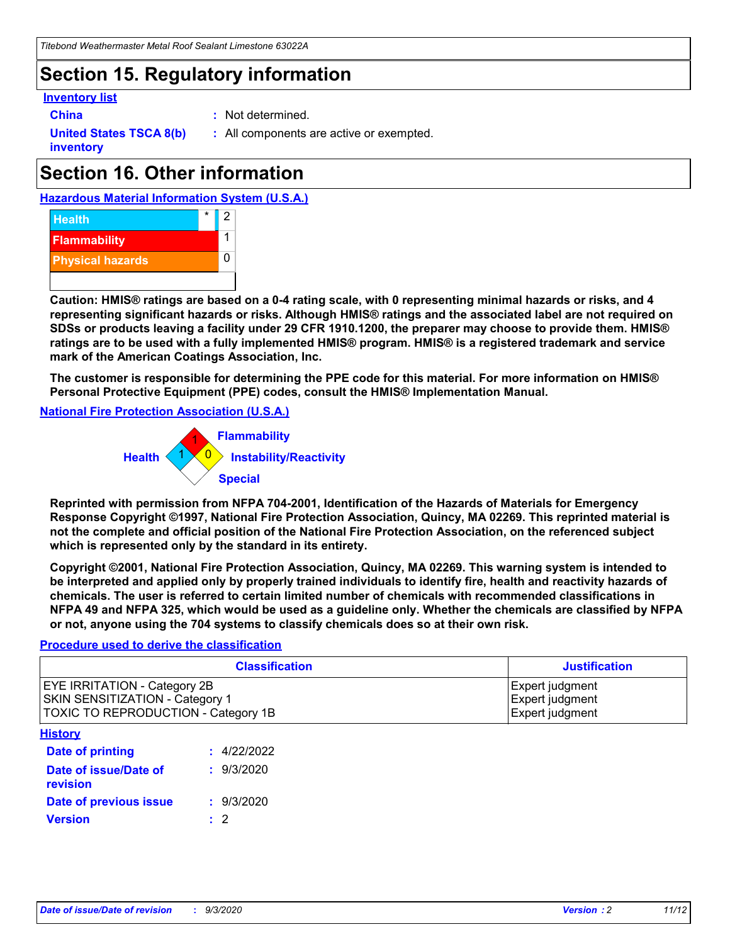## **Section 15. Regulatory information**

### **Inventory list**

- 
- **China :** Not determined.

**United States TSCA 8(b) inventory**

**:** All components are active or exempted.

# **Section 16. Other information**





**Caution: HMIS® ratings are based on a 0-4 rating scale, with 0 representing minimal hazards or risks, and 4 representing significant hazards or risks. Although HMIS® ratings and the associated label are not required on SDSs or products leaving a facility under 29 CFR 1910.1200, the preparer may choose to provide them. HMIS® ratings are to be used with a fully implemented HMIS® program. HMIS® is a registered trademark and service mark of the American Coatings Association, Inc.**

**The customer is responsible for determining the PPE code for this material. For more information on HMIS® Personal Protective Equipment (PPE) codes, consult the HMIS® Implementation Manual.**

**National Fire Protection Association (U.S.A.)**



**Reprinted with permission from NFPA 704-2001, Identification of the Hazards of Materials for Emergency Response Copyright ©1997, National Fire Protection Association, Quincy, MA 02269. This reprinted material is not the complete and official position of the National Fire Protection Association, on the referenced subject which is represented only by the standard in its entirety.**

**Copyright ©2001, National Fire Protection Association, Quincy, MA 02269. This warning system is intended to be interpreted and applied only by properly trained individuals to identify fire, health and reactivity hazards of chemicals. The user is referred to certain limited number of chemicals with recommended classifications in NFPA 49 and NFPA 325, which would be used as a guideline only. Whether the chemicals are classified by NFPA or not, anyone using the 704 systems to classify chemicals does so at their own risk.**

### **Procedure used to derive the classification**

| <b>Classification</b>                                                                                                | <b>Justification</b>                                  |
|----------------------------------------------------------------------------------------------------------------------|-------------------------------------------------------|
| <b>EYE IRRITATION - Category 2B</b><br><b>SKIN SENSITIZATION - Category 1</b><br>TOXIC TO REPRODUCTION - Category 1B | Expert judgment<br>Expert judgment<br>Expert judgment |
| <b>History</b>                                                                                                       |                                                       |

| .                                 |             |
|-----------------------------------|-------------|
| <b>Date of printing</b>           | : 4/22/2022 |
| Date of issue/Date of<br>revision | : 9/3/2020  |
| Date of previous issue            | : 9/3/2020  |
| <b>Version</b>                    | $\cdot$ 2   |
|                                   |             |